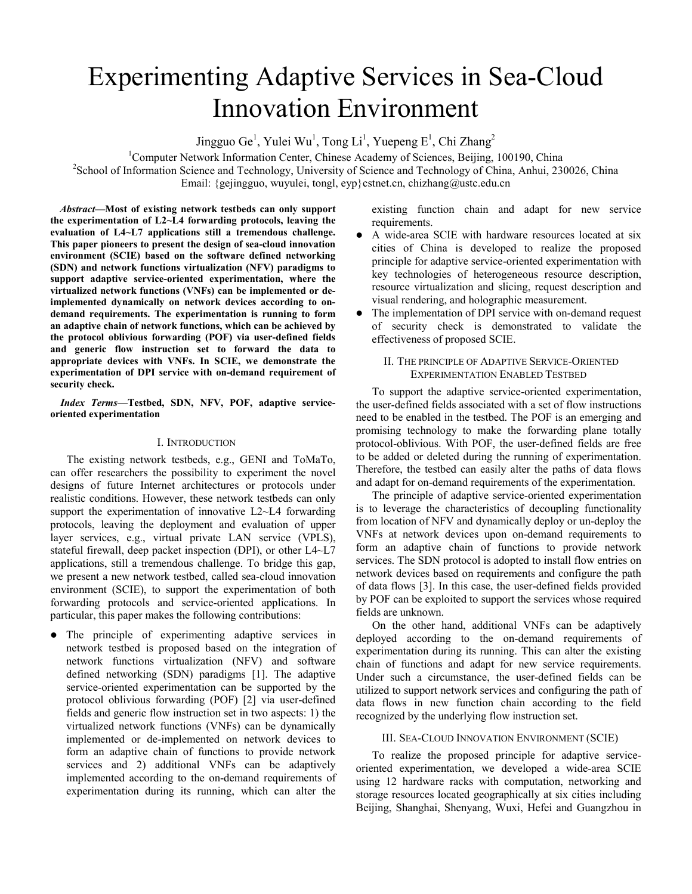# Experimenting Adaptive Services in Sea-Cloud Innovation Environment

Jingguo Ge<sup>1</sup>, Yulei Wu<sup>1</sup>, Tong Li<sup>1</sup>, Yuepeng E<sup>1</sup>, Chi Zhang<sup>2</sup>

<sup>1</sup>Computer Network Information Center, Chinese Academy of Sciences, Beijing, 100190, China <sup>2</sup>School of Information Science and Technology University of Science and Technology of China, Anhui 22 <sup>2</sup>School of Information Science and Technology, University of Science and Technology of China, Anhui, 230026, China Email: {gejingguo, wuyulei, tongl, eyp}cstnet.cn, chizhang@ustc.edu.cn

*Abstract***—Most of existing network testbeds can only support the experimentation of L2~L4 forwarding protocols, leaving the evaluation of L4~L7 applications still a tremendous challenge. This paper pioneers to present the design of sea-cloud innovation environment (SCIE) based on the software defined networking (SDN) and network functions virtualization (NFV) paradigms to support adaptive service-oriented experimentation, where the virtualized network functions (VNFs) can be implemented or deimplemented dynamically on network devices according to ondemand requirements. The experimentation is running to form an adaptive chain of network functions, which can be achieved by the protocol oblivious forwarding (POF) via user-defined fields and generic flow instruction set to forward the data to appropriate devices with VNFs. In SCIE, we demonstrate the experimentation of DPI service with on-demand requirement of security check.** 

*Index Terms***—Testbed, SDN, NFV, POF, adaptive serviceoriented experimentation** 

# I. INTRODUCTION

The existing network testbeds, e.g., GENI and ToMaTo, can offer researchers the possibility to experiment the novel designs of future Internet architectures or protocols under realistic conditions. However, these network testbeds can only support the experimentation of innovative L2~L4 forwarding protocols, leaving the deployment and evaluation of upper layer services, e.g., virtual private LAN service (VPLS), stateful firewall, deep packet inspection (DPI), or other L4~L7 applications, still a tremendous challenge. To bridge this gap, we present a new network testbed, called sea-cloud innovation environment (SCIE), to support the experimentation of both forwarding protocols and service-oriented applications. In particular, this paper makes the following contributions:

• The principle of experimenting adaptive services in network testbed is proposed based on the integration of network functions virtualization (NFV) and software defined networking (SDN) paradigms [1]. The adaptive service-oriented experimentation can be supported by the protocol oblivious forwarding (POF) [2] via user-defined fields and generic flow instruction set in two aspects: 1) the virtualized network functions (VNFs) can be dynamically implemented or de-implemented on network devices to form an adaptive chain of functions to provide network services and 2) additional VNFs can be adaptively implemented according to the on-demand requirements of experimentation during its running, which can alter the

existing function chain and adapt for new service requirements.

- A wide-area SCIE with hardware resources located at six cities of China is developed to realize the proposed principle for adaptive service-oriented experimentation with key technologies of heterogeneous resource description, resource virtualization and slicing, request description and visual rendering, and holographic measurement.
- The implementation of DPI service with on-demand request of security check is demonstrated to validate the effectiveness of proposed SCIE.

## II. THE PRINCIPLE OF ADAPTIVE SERVICE-ORIENTED EXPERIMENTATION ENABLED TESTBED

To support the adaptive service-oriented experimentation, the user-defined fields associated with a set of flow instructions need to be enabled in the testbed. The POF is an emerging and promising technology to make the forwarding plane totally protocol-oblivious. With POF, the user-defined fields are free to be added or deleted during the running of experimentation. Therefore, the testbed can easily alter the paths of data flows and adapt for on-demand requirements of the experimentation.

The principle of adaptive service-oriented experimentation is to leverage the characteristics of decoupling functionality from location of NFV and dynamically deploy or un-deploy the VNFs at network devices upon on-demand requirements to form an adaptive chain of functions to provide network services. The SDN protocol is adopted to install flow entries on network devices based on requirements and configure the path of data flows [3]. In this case, the user-defined fields provided by POF can be exploited to support the services whose required fields are unknown.

On the other hand, additional VNFs can be adaptively deployed according to the on-demand requirements of experimentation during its running. This can alter the existing chain of functions and adapt for new service requirements. Under such a circumstance, the user-defined fields can be utilized to support network services and configuring the path of data flows in new function chain according to the field recognized by the underlying flow instruction set.

## III. SEA-CLOUD INNOVATION ENVIRONMENT (SCIE)

To realize the proposed principle for adaptive serviceoriented experimentation, we developed a wide-area SCIE using 12 hardware racks with computation, networking and storage resources located geographically at six cities including Beijing, Shanghai, Shenyang, Wuxi, Hefei and Guangzhou in